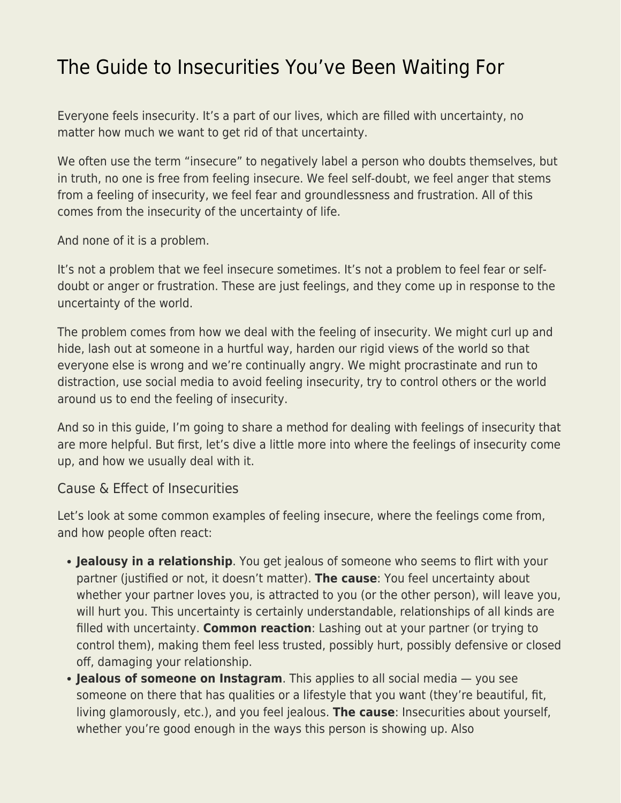## [The Guide to Insecurities You've Been Waiting For](https://everything-voluntary.com/the-guide-to-insecurities-youve-been-waiting-for)

Everyone feels insecurity. It's a part of our lives, which are filled with uncertainty, no matter how much we want to get rid of that uncertainty.

We often use the term "insecure" to negatively label a person who doubts themselves, but in truth, no one is free from feeling insecure. We feel self-doubt, we feel anger that stems from a feeling of insecurity, we feel fear and groundlessness and frustration. All of this comes from the insecurity of the uncertainty of life.

And none of it is a problem.

It's not a problem that we feel insecure sometimes. It's not a problem to feel fear or selfdoubt or anger or frustration. These are just feelings, and they come up in response to the uncertainty of the world.

The problem comes from how we deal with the feeling of insecurity. We might curl up and hide, lash out at someone in a hurtful way, harden our rigid views of the world so that everyone else is wrong and we're continually angry. We might procrastinate and run to distraction, use social media to avoid feeling insecurity, try to control others or the world around us to end the feeling of insecurity.

And so in this guide, I'm going to share a method for dealing with feelings of insecurity that are more helpful. But first, let's dive a little more into where the feelings of insecurity come up, and how we usually deal with it.

## Cause & Effect of Insecurities

Let's look at some common examples of feeling insecure, where the feelings come from, and how people often react:

- **Jealousy in a relationship**. You get jealous of someone who seems to flirt with your partner (justified or not, it doesn't matter). **The cause**: You feel uncertainty about whether your partner loves you, is attracted to you (or the other person), will leave you, will hurt you. This uncertainty is certainly understandable, relationships of all kinds are filled with uncertainty. **Common reaction**: Lashing out at your partner (or trying to control them), making them feel less trusted, possibly hurt, possibly defensive or closed off, damaging your relationship.
- **Jealous of someone on Instagram**. This applies to all social media you see someone on there that has qualities or a lifestyle that you want (they're beautiful, fit, living glamorously, etc.), and you feel jealous. **The cause**: Insecurities about yourself, whether you're good enough in the ways this person is showing up. Also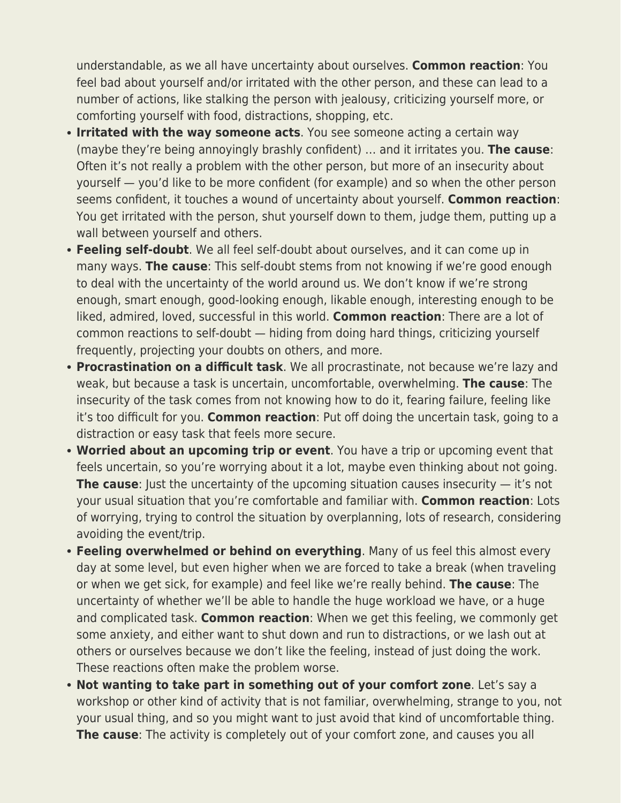understandable, as we all have uncertainty about ourselves. **Common reaction**: You feel bad about yourself and/or irritated with the other person, and these can lead to a number of actions, like stalking the person with jealousy, criticizing yourself more, or comforting yourself with food, distractions, shopping, etc.

- **Irritated with the way someone acts**. You see someone acting a certain way (maybe they're being annoyingly brashly confident) … and it irritates you. **The cause**: Often it's not really a problem with the other person, but more of an insecurity about yourself — you'd like to be more confident (for example) and so when the other person seems confident, it touches a wound of uncertainty about yourself. **Common reaction**: You get irritated with the person, shut yourself down to them, judge them, putting up a wall between yourself and others.
- **Feeling self-doubt**. We all feel self-doubt about ourselves, and it can come up in many ways. **The cause**: This self-doubt stems from not knowing if we're good enough to deal with the uncertainty of the world around us. We don't know if we're strong enough, smart enough, good-looking enough, likable enough, interesting enough to be liked, admired, loved, successful in this world. **Common reaction**: There are a lot of common reactions to self-doubt — hiding from doing hard things, criticizing yourself frequently, projecting your doubts on others, and more.
- **Procrastination on a difficult task**. We all procrastinate, not because we're lazy and weak, but because a task is uncertain, uncomfortable, overwhelming. **The cause**: The insecurity of the task comes from not knowing how to do it, fearing failure, feeling like it's too difficult for you. **Common reaction**: Put off doing the uncertain task, going to a distraction or easy task that feels more secure.
- **Worried about an upcoming trip or event**. You have a trip or upcoming event that feels uncertain, so you're worrying about it a lot, maybe even thinking about not going. **The cause**: Just the uncertainty of the upcoming situation causes insecurity — it's not your usual situation that you're comfortable and familiar with. **Common reaction**: Lots of worrying, trying to control the situation by overplanning, lots of research, considering avoiding the event/trip.
- **Feeling overwhelmed or behind on everything**. Many of us feel this almost every day at some level, but even higher when we are forced to take a break (when traveling or when we get sick, for example) and feel like we're really behind. **The cause**: The uncertainty of whether we'll be able to handle the huge workload we have, or a huge and complicated task. **Common reaction**: When we get this feeling, we commonly get some anxiety, and either want to shut down and run to distractions, or we lash out at others or ourselves because we don't like the feeling, instead of just doing the work. These reactions often make the problem worse.
- **Not wanting to take part in something out of your comfort zone**. Let's say a workshop or other kind of activity that is not familiar, overwhelming, strange to you, not your usual thing, and so you might want to just avoid that kind of uncomfortable thing. **The cause**: The activity is completely out of your comfort zone, and causes you all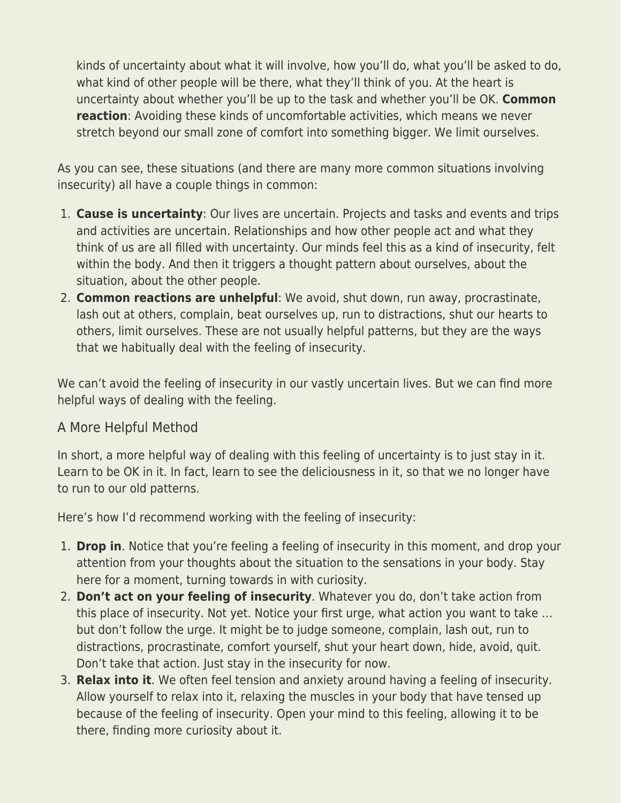kinds of uncertainty about what it will involve, how you'll do, what you'll be asked to do, what kind of other people will be there, what they'll think of you. At the heart is uncertainty about whether you'll be up to the task and whether you'll be OK. **Common reaction**: Avoiding these kinds of uncomfortable activities, which means we never stretch beyond our small zone of comfort into something bigger. We limit ourselves.

As you can see, these situations (and there are many more common situations involving insecurity) all have a couple things in common:

- 1. **Cause is uncertainty**: Our lives are uncertain. Projects and tasks and events and trips and activities are uncertain. Relationships and how other people act and what they think of us are all filled with uncertainty. Our minds feel this as a kind of insecurity, felt within the body. And then it triggers a thought pattern about ourselves, about the situation, about the other people.
- 2. **Common reactions are unhelpful**: We avoid, shut down, run away, procrastinate, lash out at others, complain, beat ourselves up, run to distractions, shut our hearts to others, limit ourselves. These are not usually helpful patterns, but they are the ways that we habitually deal with the feeling of insecurity.

We can't avoid the feeling of insecurity in our vastly uncertain lives. But we can find more helpful ways of dealing with the feeling.

## A More Helpful Method

In short, a more helpful way of dealing with this feeling of uncertainty is to just stay in it. Learn to be OK in it. In fact, learn to see the deliciousness in it, so that we no longer have to run to our old patterns.

Here's how I'd recommend working with the feeling of insecurity:

- 1. **Drop in**. Notice that you're feeling a feeling of insecurity in this moment, and drop your attention from your thoughts about the situation to the sensations in your body. Stay here for a moment, turning towards in with curiosity.
- 2. **Don't act on your feeling of insecurity**. Whatever you do, don't take action from this place of insecurity. Not yet. Notice your first urge, what action you want to take … but don't follow the urge. It might be to judge someone, complain, lash out, run to distractions, procrastinate, comfort yourself, shut your heart down, hide, avoid, quit. Don't take that action. Just stay in the insecurity for now.
- 3. **Relax into it**. We often feel tension and anxiety around having a feeling of insecurity. Allow yourself to relax into it, relaxing the muscles in your body that have tensed up because of the feeling of insecurity. Open your mind to this feeling, allowing it to be there, finding more curiosity about it.